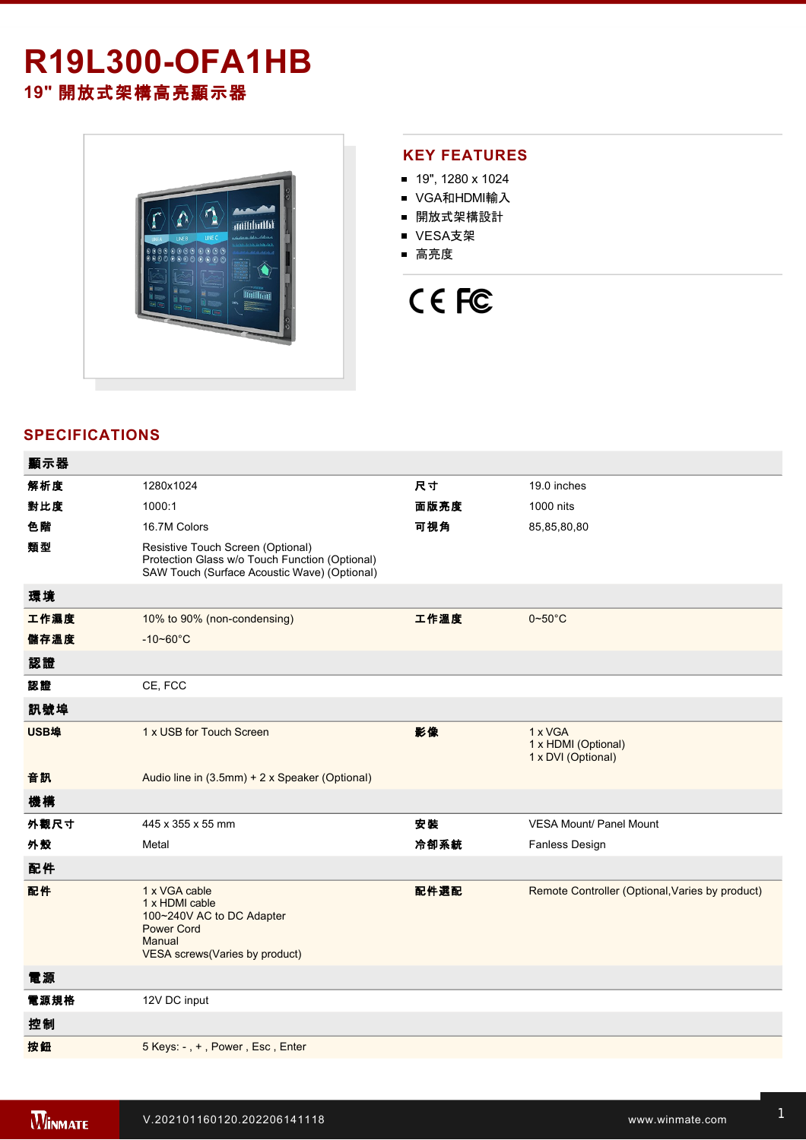## **R19L300-OFA1HB 19"** 開放式架構高亮顯示器



#### **KEY FEATURES**

- 19", 1280 x 1024
- VGA和HDMI輸入
- 開放式架構設計
- VESA支架
- 高亮度

# CE FC

### **SPECIFICATIONS**

| 顯示器  |                                                                                                                                     |      |                                                      |
|------|-------------------------------------------------------------------------------------------------------------------------------------|------|------------------------------------------------------|
| 解析度  | 1280x1024                                                                                                                           | 尺寸   | 19.0 inches                                          |
| 對比度  | 1000:1                                                                                                                              | 面版亮度 | 1000 nits                                            |
| 色階   | 16.7M Colors                                                                                                                        | 可視角  | 85,85,80,80                                          |
| 類型   | Resistive Touch Screen (Optional)<br>Protection Glass w/o Touch Function (Optional)<br>SAW Touch (Surface Acoustic Wave) (Optional) |      |                                                      |
| 環境   |                                                                                                                                     |      |                                                      |
| 工作濕度 | 10% to 90% (non-condensing)                                                                                                         | 工作溫度 | $0 - 50$ °C                                          |
| 儲存溫度 | $-10 - 60^{\circ}C$                                                                                                                 |      |                                                      |
| 認證   |                                                                                                                                     |      |                                                      |
| 認證   | CE, FCC                                                                                                                             |      |                                                      |
| 訊號埠  |                                                                                                                                     |      |                                                      |
| USB埠 | 1 x USB for Touch Screen                                                                                                            | 影像   | 1 x VGA<br>1 x HDMI (Optional)<br>1 x DVI (Optional) |
| 音訊   | Audio line in (3.5mm) + 2 x Speaker (Optional)                                                                                      |      |                                                      |
| 機構   |                                                                                                                                     |      |                                                      |
| 外觀尺寸 | 445 x 355 x 55 mm                                                                                                                   | 安裝   | <b>VESA Mount/ Panel Mount</b>                       |
| 外殼   | Metal                                                                                                                               | 冷卻系統 | Fanless Design                                       |
| 配件   |                                                                                                                                     |      |                                                      |
| 配件   | 1 x VGA cable<br>1 x HDMI cable<br>100~240V AC to DC Adapter<br><b>Power Cord</b><br>Manual<br>VESA screws(Varies by product)       | 配件選配 | Remote Controller (Optional, Varies by product)      |
| 電源   |                                                                                                                                     |      |                                                      |
| 電源規格 | 12V DC input                                                                                                                        |      |                                                      |
| 控制   |                                                                                                                                     |      |                                                      |
| 按鈕   | 5 Keys: -, +, Power, Esc, Enter                                                                                                     |      |                                                      |
|      |                                                                                                                                     |      |                                                      |

**DIMENSIONS**  UNIT:MM